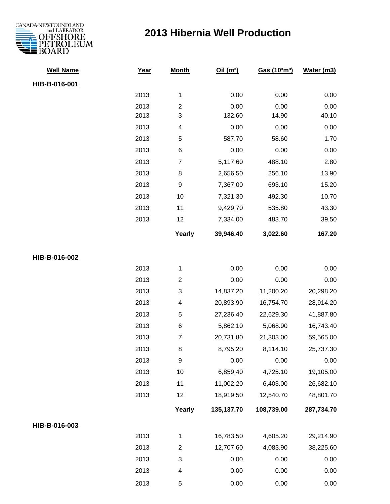

## **2013 Hibernia Well Production**

| <b>Well Name</b> | Year | <b>Month</b>            | Oil(m <sup>3</sup> ) | Gas (103m3) | Water (m3) |
|------------------|------|-------------------------|----------------------|-------------|------------|
| HIB-B-016-001    |      |                         |                      |             |            |
|                  | 2013 | $\mathbf{1}$            | 0.00                 | 0.00        | 0.00       |
|                  | 2013 | $\boldsymbol{2}$        | 0.00                 | 0.00        | 0.00       |
|                  | 2013 | 3                       | 132.60               | 14.90       | 40.10      |
|                  | 2013 | 4                       | 0.00                 | 0.00        | 0.00       |
|                  | 2013 | 5                       | 587.70               | 58.60       | 1.70       |
|                  | 2013 | 6                       | 0.00                 | 0.00        | 0.00       |
|                  | 2013 | $\boldsymbol{7}$        | 5,117.60             | 488.10      | 2.80       |
|                  | 2013 | 8                       | 2,656.50             | 256.10      | 13.90      |
|                  | 2013 | 9                       | 7,367.00             | 693.10      | 15.20      |
|                  | 2013 | 10                      | 7,321.30             | 492.30      | 10.70      |
|                  | 2013 | 11                      | 9,429.70             | 535.80      | 43.30      |
|                  | 2013 | 12                      | 7,334.00             | 483.70      | 39.50      |
|                  |      | Yearly                  | 39,946.40            | 3,022.60    | 167.20     |
| HIB-B-016-002    |      |                         |                      |             |            |
|                  | 2013 | $\mathbf{1}$            | 0.00                 | 0.00        | 0.00       |
|                  | 2013 | $\boldsymbol{2}$        | 0.00                 | 0.00        | 0.00       |
|                  | 2013 | $\sqrt{3}$              | 14,837.20            | 11,200.20   | 20,298.20  |
|                  | 2013 | $\overline{\mathbf{4}}$ | 20,893.90            | 16,754.70   | 28,914.20  |
|                  | 2013 | 5                       | 27,236.40            | 22,629.30   | 41,887.80  |
|                  | 2013 | $\,6$                   | 5,862.10             | 5,068.90    | 16,743.40  |
|                  | 2013 | $\overline{7}$          | 20,731.80            | 21,303.00   | 59,565.00  |
|                  | 2013 | 8                       | 8,795.20             | 8,114.10    | 25,737.30  |
|                  | 2013 | 9                       | 0.00                 | 0.00        | 0.00       |
|                  | 2013 | 10                      | 6,859.40             | 4,725.10    | 19,105.00  |
|                  | 2013 | 11                      | 11,002.20            | 6,403.00    | 26,682.10  |
|                  | 2013 | 12                      | 18,919.50            | 12,540.70   | 48,801.70  |
|                  |      | Yearly                  | 135,137.70           | 108,739.00  | 287,734.70 |
| HIB-B-016-003    |      |                         |                      |             |            |
|                  | 2013 | $\mathbf{1}$            | 16,783.50            | 4,605.20    | 29,214.90  |
|                  | 2013 | $\overline{2}$          | 12,707.60            | 4,083.90    | 38,225.60  |
|                  | 2013 | $\sqrt{3}$              | 0.00                 | 0.00        | 0.00       |
|                  | 2013 | 4                       | 0.00                 | 0.00        | 0.00       |
|                  | 2013 | 5                       | 0.00                 | 0.00        | 0.00       |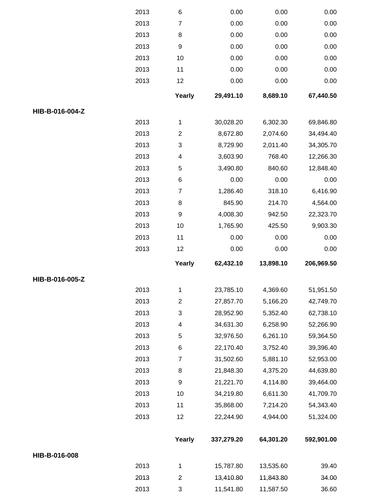|                 | 2013         | $\,6$                     | 0.00                   | 0.00                   | 0.00           |
|-----------------|--------------|---------------------------|------------------------|------------------------|----------------|
|                 | 2013         | $\overline{7}$            | 0.00                   | 0.00                   | 0.00           |
|                 | 2013         | 8                         | 0.00                   | 0.00                   | 0.00           |
|                 | 2013         | 9                         | 0.00                   | 0.00                   | 0.00           |
|                 | 2013         | 10                        | 0.00                   | 0.00                   | 0.00           |
|                 | 2013         | 11                        | 0.00                   | 0.00                   | 0.00           |
|                 | 2013         | 12                        | 0.00                   | 0.00                   | 0.00           |
|                 |              | Yearly                    | 29,491.10              | 8,689.10               | 67,440.50      |
| HIB-B-016-004-Z |              |                           |                        |                        |                |
|                 | 2013         | 1                         | 30,028.20              | 6,302.30               | 69,846.80      |
|                 | 2013         | $\overline{\mathbf{c}}$   | 8,672.80               | 2,074.60               | 34,494.40      |
|                 | 2013         | $\ensuremath{\mathsf{3}}$ | 8,729.90               | 2,011.40               | 34,305.70      |
|                 | 2013         | 4                         | 3,603.90               | 768.40                 | 12,266.30      |
|                 | 2013         | 5                         | 3,490.80               | 840.60                 | 12,848.40      |
|                 | 2013         | $\,6$                     | 0.00                   | 0.00                   | 0.00           |
|                 | 2013         | $\boldsymbol{7}$          | 1,286.40               | 318.10                 | 6,416.90       |
|                 | 2013         | 8                         | 845.90                 | 214.70                 | 4,564.00       |
|                 | 2013         | $\boldsymbol{9}$          | 4,008.30               | 942.50                 | 22,323.70      |
|                 | 2013         | 10                        | 1,765.90               | 425.50                 | 9,903.30       |
|                 | 2013         | 11                        | 0.00                   | 0.00                   | 0.00           |
|                 | 2013         | 12                        | 0.00                   | 0.00                   | 0.00           |
|                 |              | Yearly                    | 62,432.10              | 13,898.10              | 206,969.50     |
| HIB-B-016-005-Z |              |                           |                        |                        |                |
|                 |              |                           |                        |                        |                |
|                 | 2013         | 1                         | 23,785.10              | 4,369.60               | 51,951.50      |
|                 | 2013         | $\overline{2}$            | 27,857.70              | 5,166.20               | 42,749.70      |
|                 | 2013         | $\sqrt{3}$                | 28,952.90              | 5,352.40               | 62,738.10      |
|                 | 2013         | 4                         | 34,631.30              | 6,258.90               | 52,266.90      |
|                 | 2013         | 5                         | 32,976.50              | 6,261.10               | 59,364.50      |
|                 | 2013         | 6                         | 22,170.40              | 3,752.40               | 39,396.40      |
|                 | 2013         | $\overline{7}$            | 31,502.60              | 5,881.10               | 52,953.00      |
|                 | 2013         | 8                         | 21,848.30              | 4,375.20               | 44,639.80      |
|                 | 2013         | 9                         | 21,221.70              | 4,114.80               | 39,464.00      |
|                 | 2013         | 10                        | 34,219.80              | 6,611.30               | 41,709.70      |
|                 | 2013         | 11                        | 35,868.00              | 7,214.20               | 54,343.40      |
|                 | 2013         | 12                        | 22,244.90              | 4,944.00               | 51,324.00      |
|                 |              | Yearly                    | 337,279.20             | 64,301.20              | 592,901.00     |
| HIB-B-016-008   |              |                           |                        |                        |                |
|                 | 2013         | 1                         | 15,787.80              | 13,535.60              | 39.40          |
|                 | 2013<br>2013 | $\mathbf{2}$<br>3         | 13,410.80<br>11,541.80 | 11,843.80<br>11,587.50 | 34.00<br>36.60 |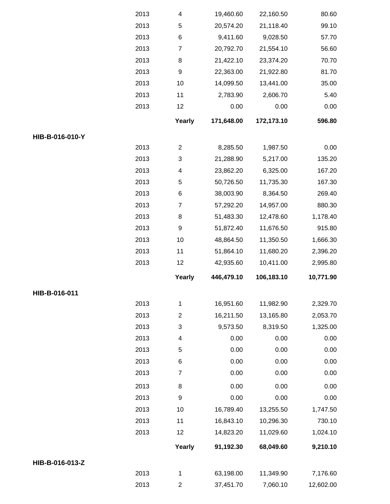|                 | 2013 | 4                | 19,460.60  | 22,160.50  | 80.60     |
|-----------------|------|------------------|------------|------------|-----------|
|                 | 2013 | 5                | 20,574.20  | 21,118.40  | 99.10     |
|                 | 2013 | 6                | 9,411.60   | 9,028.50   | 57.70     |
|                 | 2013 | $\boldsymbol{7}$ | 20,792.70  | 21,554.10  | 56.60     |
|                 | 2013 | 8                | 21,422.10  | 23,374.20  | 70.70     |
|                 | 2013 | 9                | 22,363.00  | 21,922.80  | 81.70     |
|                 | 2013 | 10               | 14,099.50  | 13,441.00  | 35.00     |
|                 | 2013 | 11               | 2,783.90   | 2,606.70   | 5.40      |
|                 | 2013 | 12               | 0.00       | 0.00       | 0.00      |
|                 |      | Yearly           | 171,648.00 | 172,173.10 | 596.80    |
| HIB-B-016-010-Y |      |                  |            |            |           |
|                 | 2013 | $\overline{2}$   | 8,285.50   | 1,987.50   | 0.00      |
|                 | 2013 | 3                | 21,288.90  | 5,217.00   | 135.20    |
|                 | 2013 | 4                | 23,862.20  | 6,325.00   | 167.20    |
|                 | 2013 | 5                | 50,726.50  | 11,735.30  | 167.30    |
|                 | 2013 | 6                | 38,003.90  | 8,364.50   | 269.40    |
|                 | 2013 | $\boldsymbol{7}$ | 57,292.20  | 14,957.00  | 880.30    |
|                 | 2013 | 8                | 51,483.30  | 12,478.60  | 1,178.40  |
|                 | 2013 | 9                | 51,872.40  | 11,676.50  | 915.80    |
|                 | 2013 | 10               | 48,864.50  | 11,350.50  | 1,666.30  |
|                 | 2013 | 11               | 51,864.10  | 11,680.20  | 2,396.20  |
|                 | 2013 | 12               | 42,935.60  | 10,411.00  | 2,995.80  |
|                 |      | Yearly           | 446,479.10 | 106,183.10 | 10,771.90 |
| HIB-B-016-011   |      |                  |            |            |           |
|                 | 2013 | $\mathbf{1}$     | 16,951.60  | 11,982.90  | 2,329.70  |
|                 | 2013 | $\mathbf{2}$     | 16,211.50  | 13,165.80  | 2,053.70  |
|                 | 2013 | 3                | 9,573.50   | 8,319.50   | 1,325.00  |
|                 | 2013 | 4                | 0.00       | 0.00       | 0.00      |
|                 | 2013 | 5                | 0.00       | 0.00       | 0.00      |
|                 | 2013 | 6                | 0.00       | 0.00       | 0.00      |
|                 | 2013 | $\boldsymbol{7}$ | 0.00       | 0.00       | 0.00      |
|                 | 2013 | 8                | 0.00       | 0.00       | 0.00      |
|                 | 2013 | $\boldsymbol{9}$ | 0.00       | 0.00       | 0.00      |
|                 | 2013 | 10               | 16,789.40  | 13,255.50  | 1,747.50  |
|                 | 2013 | 11               | 16,843.10  | 10,296.30  | 730.10    |
|                 | 2013 | 12               | 14,823.20  | 11,029.60  | 1,024.10  |
|                 |      | Yearly           | 91,192.30  | 68,049.60  | 9,210.10  |
| HIB-B-016-013-Z |      |                  |            |            |           |
|                 | 2013 | $\mathbf{1}$     | 63,198.00  | 11,349.90  | 7,176.60  |
|                 |      |                  |            |            |           |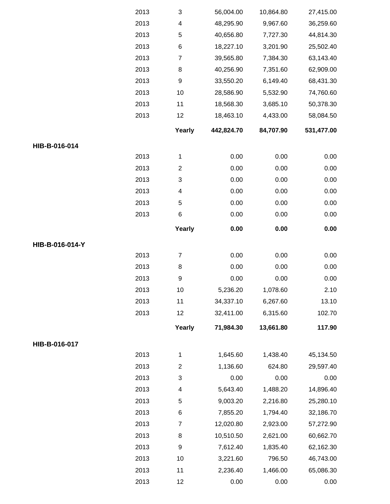|                 | 2013 | $\sqrt{3}$                | 56,004.00  | 10,864.80 | 27,415.00  |
|-----------------|------|---------------------------|------------|-----------|------------|
|                 | 2013 | $\overline{\mathcal{A}}$  | 48,295.90  | 9,967.60  | 36,259.60  |
|                 | 2013 | 5                         | 40,656.80  | 7,727.30  | 44,814.30  |
|                 | 2013 | $\,6$                     | 18,227.10  | 3,201.90  | 25,502.40  |
|                 | 2013 | $\boldsymbol{7}$          | 39,565.80  | 7,384.30  | 63,143.40  |
|                 | 2013 | 8                         | 40,256.90  | 7,351.60  | 62,909.00  |
|                 | 2013 | $\boldsymbol{9}$          | 33,550.20  | 6,149.40  | 68,431.30  |
|                 | 2013 | 10                        | 28,586.90  | 5,532.90  | 74,760.60  |
|                 | 2013 | 11                        | 18,568.30  | 3,685.10  | 50,378.30  |
|                 | 2013 | 12                        | 18,463.10  | 4,433.00  | 58,084.50  |
|                 |      | Yearly                    | 442,824.70 | 84,707.90 | 531,477.00 |
| HIB-B-016-014   |      |                           |            |           |            |
|                 | 2013 | $\mathbf{1}$              | 0.00       | 0.00      | 0.00       |
|                 | 2013 | $\boldsymbol{2}$          | 0.00       | 0.00      | 0.00       |
|                 | 2013 | $\ensuremath{\mathsf{3}}$ | 0.00       | 0.00      | 0.00       |
|                 | 2013 | 4                         | 0.00       | 0.00      | 0.00       |
|                 | 2013 | 5                         | 0.00       | 0.00      | 0.00       |
|                 | 2013 | $\,6$                     | 0.00       | 0.00      | 0.00       |
|                 |      | Yearly                    | 0.00       | 0.00      | 0.00       |
| HIB-B-016-014-Y |      |                           |            |           |            |
|                 | 2013 | $\overline{7}$            | 0.00       | 0.00      | 0.00       |
|                 | 2013 | 8                         | 0.00       | 0.00      | 0.00       |
|                 | 2013 | $\boldsymbol{9}$          | 0.00       | 0.00      | 0.00       |
|                 | 2013 | 10                        | 5,236.20   | 1,078.60  | 2.10       |
|                 | 2013 | 11                        | 34,337.10  | 6,267.60  | 13.10      |
|                 | 2013 | 12                        | 32,411.00  | 6,315.60  | 102.70     |
|                 |      | Yearly                    | 71,984.30  | 13,661.80 | 117.90     |
| HIB-B-016-017   |      |                           |            |           |            |
|                 | 2013 | $\mathbf 1$               | 1,645.60   | 1,438.40  | 45,134.50  |
|                 | 2013 | $\mathbf{2}$              | 1,136.60   | 624.80    | 29,597.40  |
|                 | 2013 | $\sqrt{3}$                | 0.00       | 0.00      | 0.00       |
|                 | 2013 | 4                         | 5,643.40   | 1,488.20  | 14,896.40  |
|                 | 2013 | 5                         | 9,003.20   | 2,216.80  | 25,280.10  |
|                 | 2013 | 6                         | 7,855.20   | 1,794.40  | 32,186.70  |
|                 | 2013 | $\overline{7}$            | 12,020.80  | 2,923.00  | 57,272.90  |
|                 | 2013 | 8                         | 10,510.50  | 2,621.00  | 60,662.70  |
|                 | 2013 | $\boldsymbol{9}$          | 7,612.40   | 1,835.40  | 62,162.30  |
|                 | 2013 | 10                        | 3,221.60   | 796.50    | 46,743.00  |
|                 | 2013 | 11                        | 2,236.40   | 1,466.00  | 65,086.30  |
|                 | 2013 | 12                        | 0.00       | 0.00      | 0.00       |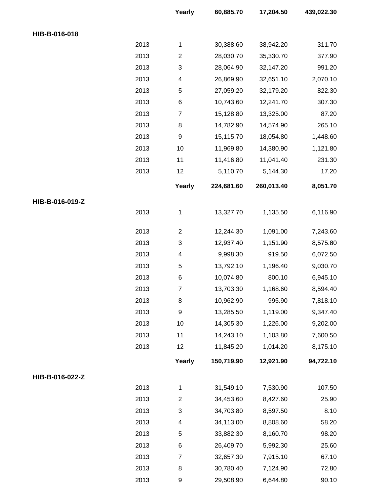|                 |      | Yearly         | 60,885.70  | 17,204.50  | 439,022.30 |
|-----------------|------|----------------|------------|------------|------------|
| HIB-B-016-018   |      |                |            |            |            |
|                 | 2013 | $\mathbf{1}$   | 30,388.60  | 38,942.20  | 311.70     |
|                 | 2013 | $\overline{2}$ | 28,030.70  | 35,330.70  | 377.90     |
|                 | 2013 | $\sqrt{3}$     | 28,064.90  | 32,147.20  | 991.20     |
|                 | 2013 | 4              | 26,869.90  | 32,651.10  | 2,070.10   |
|                 | 2013 | 5              | 27,059.20  | 32,179.20  | 822.30     |
|                 | 2013 | 6              | 10,743.60  | 12,241.70  | 307.30     |
|                 | 2013 | $\overline{7}$ | 15,128.80  | 13,325.00  | 87.20      |
|                 | 2013 | 8              | 14,782.90  | 14,574.90  | 265.10     |
|                 | 2013 | 9              | 15,115.70  | 18,054.80  | 1,448.60   |
|                 | 2013 | 10             | 11,969.80  | 14,380.90  | 1,121.80   |
|                 | 2013 | 11             | 11,416.80  | 11,041.40  | 231.30     |
|                 | 2013 | 12             | 5,110.70   | 5,144.30   | 17.20      |
|                 |      | Yearly         | 224,681.60 | 260,013.40 | 8,051.70   |
| HIB-B-016-019-Z |      |                |            |            |            |
|                 | 2013 | $\mathbf 1$    | 13,327.70  | 1,135.50   | 6,116.90   |
|                 | 2013 | $\overline{2}$ | 12,244.30  | 1,091.00   | 7,243.60   |
|                 | 2013 | $\sqrt{3}$     | 12,937.40  | 1,151.90   | 8,575.80   |
|                 | 2013 | 4              | 9,998.30   | 919.50     | 6,072.50   |
|                 | 2013 | 5              | 13,792.10  | 1,196.40   | 9,030.70   |
|                 | 2013 | $\,6$          | 10,074.80  | 800.10     | 6,945.10   |
|                 | 2013 | $\overline{7}$ | 13,703.30  | 1,168.60   | 8,594.40   |
|                 | 2013 | 8              | 10,962.90  | 995.90     | 7,818.10   |
|                 | 2013 | 9              | 13,285.50  | 1,119.00   | 9,347.40   |
|                 | 2013 | 10             | 14,305.30  | 1,226.00   | 9,202.00   |
|                 | 2013 | 11             | 14,243.10  | 1,103.80   | 7,600.50   |
|                 | 2013 | 12             | 11,845.20  | 1,014.20   | 8,175.10   |
|                 |      | Yearly         | 150,719.90 | 12,921.90  | 94,722.10  |
| HIB-B-016-022-Z |      |                |            |            |            |
|                 | 2013 | $\mathbf{1}$   | 31,549.10  | 7,530.90   | 107.50     |
|                 | 2013 | $\overline{2}$ | 34,453.60  | 8,427.60   | 25.90      |
|                 | 2013 | 3              | 34,703.80  | 8,597.50   | 8.10       |
|                 | 2013 | 4              | 34,113.00  | 8,808.60   | 58.20      |
|                 | 2013 | 5              | 33,882.30  | 8,160.70   | 98.20      |
|                 | 2013 | 6              | 26,409.70  | 5,992.30   | 25.60      |
|                 | 2013 | $\overline{7}$ | 32,657.30  | 7,915.10   | 67.10      |
|                 | 2013 | 8              | 30,780.40  | 7,124.90   | 72.80      |
|                 | 2013 | 9              | 29,508.90  | 6,644.80   | 90.10      |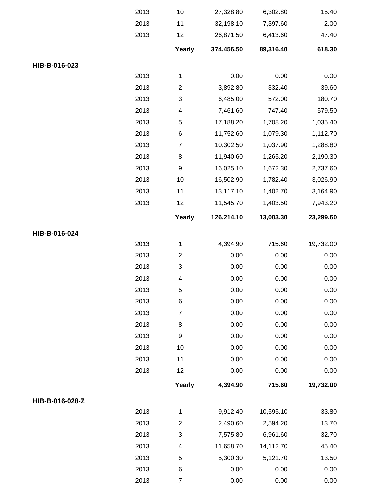|                 | 2013 | 10                       | 27,328.80  | 6,302.80  | 15.40     |
|-----------------|------|--------------------------|------------|-----------|-----------|
|                 | 2013 | 11                       | 32,198.10  | 7,397.60  | 2.00      |
|                 | 2013 | 12                       | 26,871.50  | 6,413.60  | 47.40     |
|                 |      | Yearly                   | 374,456.50 | 89,316.40 | 618.30    |
| HIB-B-016-023   |      |                          |            |           |           |
|                 | 2013 | 1                        | 0.00       | 0.00      | 0.00      |
|                 | 2013 | $\overline{2}$           | 3,892.80   | 332.40    | 39.60     |
|                 | 2013 | $\sqrt{3}$               | 6,485.00   | 572.00    | 180.70    |
|                 | 2013 | 4                        | 7,461.60   | 747.40    | 579.50    |
|                 | 2013 | 5                        | 17,188.20  | 1,708.20  | 1,035.40  |
|                 | 2013 | 6                        | 11,752.60  | 1,079.30  | 1,112.70  |
|                 | 2013 | $\boldsymbol{7}$         | 10,302.50  | 1,037.90  | 1,288.80  |
|                 | 2013 | 8                        | 11,940.60  | 1,265.20  | 2,190.30  |
|                 | 2013 | $\boldsymbol{9}$         | 16,025.10  | 1,672.30  | 2,737.60  |
|                 | 2013 | 10                       | 16,502.90  | 1,782.40  | 3,026.90  |
|                 | 2013 | 11                       | 13,117.10  | 1,402.70  | 3,164.90  |
|                 | 2013 | 12                       | 11,545.70  | 1,403.50  | 7,943.20  |
|                 |      | Yearly                   | 126,214.10 | 13,003.30 | 23,299.60 |
| HIB-B-016-024   |      |                          |            |           |           |
|                 | 2013 | 1                        | 4,394.90   | 715.60    | 19,732.00 |
|                 | 2013 | $\overline{c}$           | 0.00       | 0.00      | 0.00      |
|                 | 2013 | $\sqrt{3}$               | 0.00       | 0.00      | 0.00      |
|                 | 2013 | $\overline{\mathcal{A}}$ | 0.00       | 0.00      | 0.00      |
|                 | 2013 | 5                        | 0.00       | 0.00      | 0.00      |
|                 | 2013 | 6                        | 0.00       | 0.00      | 0.00      |
|                 | 2013 | $\overline{7}$           | 0.00       | 0.00      | 0.00      |
|                 | 2013 | 8                        | 0.00       | 0.00      | 0.00      |
|                 | 2013 | $\boldsymbol{9}$         | 0.00       | 0.00      | 0.00      |
|                 | 2013 | 10                       | 0.00       | 0.00      | 0.00      |
|                 | 2013 | 11                       | 0.00       | 0.00      | 0.00      |
|                 | 2013 | 12                       | 0.00       | 0.00      | 0.00      |
|                 |      | Yearly                   | 4,394.90   | 715.60    | 19,732.00 |
| HIB-B-016-028-Z |      |                          |            |           |           |
|                 | 2013 | $\mathbf{1}$             | 9,912.40   | 10,595.10 | 33.80     |
|                 | 2013 | $\mathbf{2}$             | 2,490.60   | 2,594.20  | 13.70     |
|                 | 2013 | $\sqrt{3}$               | 7,575.80   | 6,961.60  | 32.70     |
|                 | 2013 | 4                        | 11,658.70  | 14,112.70 | 45.40     |
|                 | 2013 | 5                        | 5,300.30   | 5,121.70  | 13.50     |
|                 | 2013 | 6                        | 0.00       | 0.00      | 0.00      |
|                 | 2013 | 7                        | 0.00       | 0.00      | 0.00      |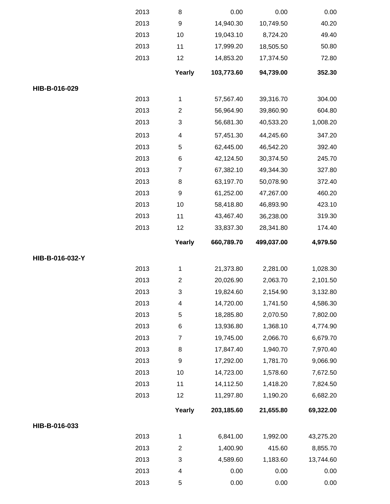|                 | 2013 | 8                       | 0.00       | 0.00       | 0.00      |
|-----------------|------|-------------------------|------------|------------|-----------|
|                 | 2013 | $\boldsymbol{9}$        | 14,940.30  | 10,749.50  | 40.20     |
|                 | 2013 | 10                      | 19,043.10  | 8,724.20   | 49.40     |
|                 | 2013 | 11                      | 17,999.20  | 18,505.50  | 50.80     |
|                 | 2013 | 12                      | 14,853.20  | 17,374.50  | 72.80     |
|                 |      | Yearly                  | 103,773.60 | 94,739.00  | 352.30    |
| HIB-B-016-029   |      |                         |            |            |           |
|                 | 2013 | 1                       | 57,567.40  | 39,316.70  | 304.00    |
|                 | 2013 | $\overline{2}$          | 56,964.90  | 39,860.90  | 604.80    |
|                 | 2013 | 3                       | 56,681.30  | 40,533.20  | 1,008.20  |
|                 | 2013 | $\overline{\mathbf{4}}$ | 57,451.30  | 44,245.60  | 347.20    |
|                 | 2013 | 5                       | 62,445.00  | 46,542.20  | 392.40    |
|                 | 2013 | 6                       | 42,124.50  | 30,374.50  | 245.70    |
|                 | 2013 | $\boldsymbol{7}$        | 67,382.10  | 49,344.30  | 327.80    |
|                 | 2013 | 8                       | 63,197.70  | 50,078.90  | 372.40    |
|                 | 2013 | $\boldsymbol{9}$        | 61,252.00  | 47,267.00  | 460.20    |
|                 | 2013 | 10                      | 58,418.80  | 46,893.90  | 423.10    |
|                 | 2013 | 11                      | 43,467.40  | 36,238.00  | 319.30    |
|                 | 2013 | 12                      | 33,837.30  | 28,341.80  | 174.40    |
|                 |      | Yearly                  | 660,789.70 | 499,037.00 | 4,979.50  |
| HIB-B-016-032-Y |      |                         |            |            |           |
|                 | 2013 | 1                       | 21,373.80  | 2,281.00   | 1,028.30  |
|                 | 2013 | $\mathbf{2}$            | 20,026.90  | 2,063.70   | 2,101.50  |
|                 | 2013 | 3                       | 19,824.60  | 2,154.90   | 3,132.80  |
|                 | 2013 | $\overline{\mathbf{4}}$ | 14,720.00  | 1,741.50   | 4,586.30  |
|                 | 2013 | 5                       | 18,285.80  | 2,070.50   | 7,802.00  |
|                 | 2013 | 6                       | 13,936.80  | 1,368.10   | 4,774.90  |
|                 | 2013 | $\boldsymbol{7}$        | 19,745.00  | 2,066.70   | 6,679.70  |
|                 | 2013 | 8                       | 17,847.40  | 1,940.70   | 7,970.40  |
|                 | 2013 | 9                       | 17,292.00  | 1,781.70   | 9,066.90  |
|                 | 2013 | 10                      | 14,723.00  | 1,578.60   | 7,672.50  |
|                 | 2013 | 11                      | 14,112.50  | 1,418.20   | 7,824.50  |
|                 | 2013 | 12                      | 11,297.80  | 1,190.20   | 6,682.20  |
|                 |      | Yearly                  | 203,185.60 | 21,655.80  | 69,322.00 |
| HIB-B-016-033   |      |                         |            |            |           |
|                 | 2013 | 1                       | 6,841.00   | 1,992.00   | 43,275.20 |
|                 | 2013 | $\mathbf{2}$            | 1,400.90   | 415.60     | 8,855.70  |
|                 | 2013 | 3                       | 4,589.60   | 1,183.60   | 13,744.60 |
|                 | 2013 | 4                       | 0.00       | 0.00       | 0.00      |
|                 | 2013 | 5                       | 0.00       | 0.00       | 0.00      |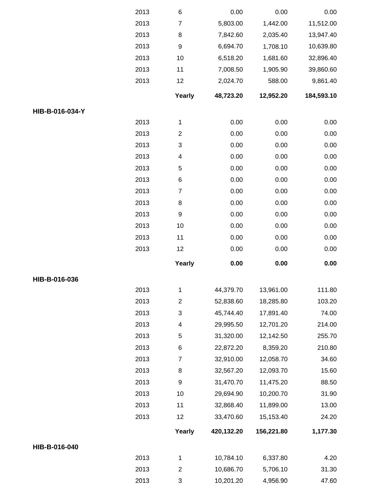|                 | 2013 | 6                         | 0.00       | 0.00       | 0.00       |
|-----------------|------|---------------------------|------------|------------|------------|
|                 | 2013 | $\overline{\mathcal{I}}$  | 5,803.00   | 1,442.00   | 11,512.00  |
|                 | 2013 | 8                         | 7,842.60   | 2,035.40   | 13,947.40  |
|                 | 2013 | $\boldsymbol{9}$          | 6,694.70   | 1,708.10   | 10,639.80  |
|                 | 2013 | 10                        | 6,518.20   | 1,681.60   | 32,896.40  |
|                 | 2013 | 11                        | 7,008.50   | 1,905.90   | 39,860.60  |
|                 | 2013 | 12                        | 2,024.70   | 588.00     | 9,861.40   |
|                 |      | Yearly                    | 48,723.20  | 12,952.20  | 184,593.10 |
| HIB-B-016-034-Y |      |                           |            |            |            |
|                 | 2013 | $\mathbf 1$               | 0.00       | 0.00       | 0.00       |
|                 | 2013 | $\boldsymbol{2}$          | 0.00       | 0.00       | 0.00       |
|                 | 2013 | $\ensuremath{\mathsf{3}}$ | 0.00       | 0.00       | 0.00       |
|                 | 2013 | 4                         | 0.00       | 0.00       | 0.00       |
|                 | 2013 | $\mathbf 5$               | 0.00       | 0.00       | 0.00       |
|                 | 2013 | $\,6$                     | 0.00       | 0.00       | 0.00       |
|                 | 2013 | $\overline{\mathbf{7}}$   | 0.00       | 0.00       | 0.00       |
|                 | 2013 | 8                         | 0.00       | 0.00       | 0.00       |
|                 | 2013 | $\boldsymbol{9}$          | 0.00       | 0.00       | 0.00       |
|                 | 2013 | 10                        | 0.00       | 0.00       | 0.00       |
|                 | 2013 | 11                        | 0.00       | 0.00       | 0.00       |
|                 | 2013 | 12                        | 0.00       | 0.00       | 0.00       |
|                 |      | Yearly                    | 0.00       | 0.00       | 0.00       |
| HIB-B-016-036   |      |                           |            |            |            |
|                 | 2013 | 1                         | 44,379.70  | 13,961.00  | 111.80     |
|                 | 2013 | $\overline{2}$            | 52,838.60  | 18,285.80  | 103.20     |
|                 | 2013 | $\ensuremath{\mathsf{3}}$ | 45,744.40  | 17,891.40  | 74.00      |
|                 | 2013 | 4                         | 29,995.50  | 12,701.20  | 214.00     |
|                 | 2013 | 5                         | 31,320.00  | 12,142.50  | 255.70     |
|                 | 2013 | 6                         | 22,872.20  | 8,359.20   | 210.80     |
|                 | 2013 | $\boldsymbol{7}$          | 32,910.00  | 12,058.70  | 34.60      |
|                 | 2013 | 8                         | 32,567.20  | 12,093.70  | 15.60      |
|                 | 2013 | $\boldsymbol{9}$          | 31,470.70  | 11,475.20  | 88.50      |
|                 | 2013 | 10                        | 29,694.90  | 10,200.70  | 31.90      |
|                 | 2013 | 11                        | 32,868.40  | 11,899.00  | 13.00      |
|                 | 2013 | 12                        | 33,470.60  | 15,153.40  | 24.20      |
|                 |      | Yearly                    | 420,132.20 | 156,221.80 | 1,177.30   |
| HIB-B-016-040   |      |                           |            |            |            |
|                 | 2013 | 1                         | 10,784.10  | 6,337.80   | 4.20       |
|                 | 2013 | $\overline{2}$            | 10,686.70  | 5,706.10   | 31.30      |
|                 | 2013 | $\ensuremath{\mathsf{3}}$ | 10,201.20  | 4,956.90   | 47.60      |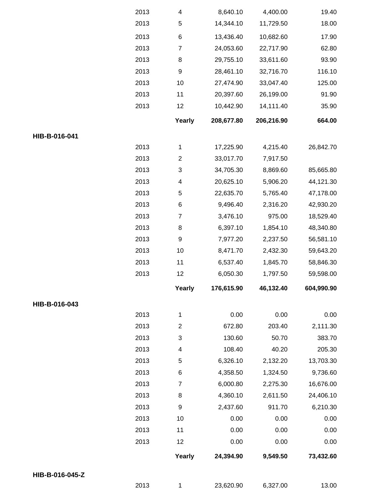|                 | 2013 | 4                | 8,640.10   | 4,400.00   | 19.40      |
|-----------------|------|------------------|------------|------------|------------|
|                 | 2013 | 5                | 14,344.10  | 11,729.50  | 18.00      |
|                 | 2013 | $\,6$            | 13,436.40  | 10,682.60  | 17.90      |
|                 | 2013 | $\overline{7}$   | 24,053.60  | 22,717.90  | 62.80      |
|                 | 2013 | 8                | 29,755.10  | 33,611.60  | 93.90      |
|                 | 2013 | 9                | 28,461.10  | 32,716.70  | 116.10     |
|                 | 2013 | 10               | 27,474.90  | 33,047.40  | 125.00     |
|                 | 2013 | 11               | 20,397.60  | 26,199.00  | 91.90      |
|                 | 2013 | 12               | 10,442.90  | 14,111.40  | 35.90      |
|                 |      | Yearly           | 208,677.80 | 206,216.90 | 664.00     |
| HIB-B-016-041   |      |                  |            |            |            |
|                 | 2013 | $\mathbf{1}$     | 17,225.90  | 4,215.40   | 26,842.70  |
|                 | 2013 | $\overline{c}$   | 33,017.70  | 7,917.50   |            |
|                 | 2013 | 3                | 34,705.30  | 8,869.60   | 85,665.80  |
|                 | 2013 | 4                | 20,625.10  | 5,906.20   | 44,121.30  |
|                 | 2013 | 5                | 22,635.70  | 5,765.40   | 47,178.00  |
|                 | 2013 | $\,6$            | 9,496.40   | 2,316.20   | 42,930.20  |
|                 | 2013 | $\overline{7}$   | 3,476.10   | 975.00     | 18,529.40  |
|                 | 2013 | 8                | 6,397.10   | 1,854.10   | 48,340.80  |
|                 | 2013 | $\boldsymbol{9}$ | 7,977.20   | 2,237.50   | 56,581.10  |
|                 | 2013 | 10               | 8,471.70   | 2,432.30   | 59,643.20  |
|                 | 2013 | 11               | 6,537.40   | 1,845.70   | 58,846.30  |
|                 | 2013 | 12               | 6,050.30   | 1,797.50   | 59,598.00  |
|                 |      | Yearly           | 176,615.90 | 46,132.40  | 604,990.90 |
| HIB-B-016-043   |      |                  |            |            |            |
|                 | 2013 | $\mathbf{1}$     | 0.00       | 0.00       | 0.00       |
|                 | 2013 | $\mathbf{2}$     | 672.80     | 203.40     | 2,111.30   |
|                 | 2013 | 3                | 130.60     | 50.70      | 383.70     |
|                 | 2013 | 4                | 108.40     | 40.20      | 205.30     |
|                 | 2013 | 5                | 6,326.10   | 2,132.20   | 13,703.30  |
|                 | 2013 | 6                | 4,358.50   | 1,324.50   | 9,736.60   |
|                 | 2013 | 7                | 6,000.80   | 2,275.30   | 16,676.00  |
|                 | 2013 | 8                | 4,360.10   | 2,611.50   | 24,406.10  |
|                 | 2013 | 9                | 2,437.60   | 911.70     | 6,210.30   |
|                 | 2013 | 10               | 0.00       | 0.00       | 0.00       |
|                 | 2013 | 11               | 0.00       | 0.00       | 0.00       |
|                 | 2013 | 12               | 0.00       | 0.00       | 0.00       |
|                 |      | Yearly           | 24,394.90  | 9,549.50   | 73,432.60  |
| HIB-B-016-045-Z |      |                  |            |            |            |
|                 | 2013 | $\mathbf{1}$     | 23,620.90  | 6,327.00   | 13.00      |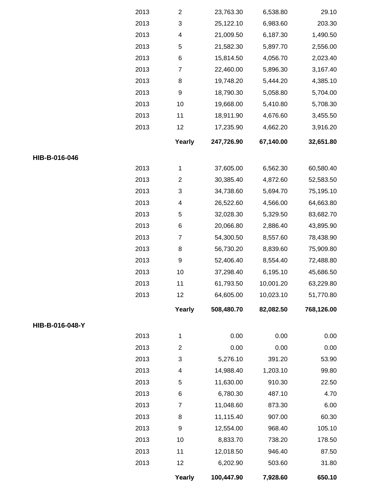|                 | 2013 | $\mathbf{2}$              | 23,763.30  | 6,538.80  | 29.10      |
|-----------------|------|---------------------------|------------|-----------|------------|
|                 | 2013 | $\ensuremath{\mathsf{3}}$ | 25,122.10  | 6,983.60  | 203.30     |
|                 | 2013 | 4                         | 21,009.50  | 6,187.30  | 1,490.50   |
|                 | 2013 | 5                         | 21,582.30  | 5,897.70  | 2,556.00   |
|                 | 2013 | 6                         | 15,814.50  | 4,056.70  | 2,023.40   |
|                 | 2013 | $\overline{7}$            | 22,460.00  | 5,896.30  | 3,167.40   |
|                 | 2013 | 8                         | 19,748.20  | 5,444.20  | 4,385.10   |
|                 | 2013 | $\boldsymbol{9}$          | 18,790.30  | 5,058.80  | 5,704.00   |
|                 | 2013 | 10                        | 19,668.00  | 5,410.80  | 5,708.30   |
|                 | 2013 | 11                        | 18,911.90  | 4,676.60  | 3,455.50   |
|                 | 2013 | 12                        | 17,235.90  | 4,662.20  | 3,916.20   |
|                 |      | Yearly                    | 247,726.90 | 67,140.00 | 32,651.80  |
| HIB-B-016-046   |      |                           |            |           |            |
|                 | 2013 | $\mathbf{1}$              | 37,605.00  | 6,562.30  | 60,580.40  |
|                 | 2013 | $\overline{c}$            | 30,385.40  | 4,872.60  | 52,583.50  |
|                 | 2013 | $\ensuremath{\mathsf{3}}$ | 34,738.60  | 5,694.70  | 75,195.10  |
|                 | 2013 | 4                         | 26,522.60  | 4,566.00  | 64,663.80  |
|                 | 2013 | 5                         | 32,028.30  | 5,329.50  | 83,682.70  |
|                 | 2013 | 6                         | 20,066.80  | 2,886.40  | 43,895.90  |
|                 | 2013 | $\overline{7}$            | 54,300.50  | 8,557.60  | 78,438.90  |
|                 | 2013 | 8                         | 56,730.20  | 8,839.60  | 75,909.80  |
|                 | 2013 | $\boldsymbol{9}$          | 52,406.40  | 8,554.40  | 72,488.80  |
|                 | 2013 | 10                        | 37,298.40  | 6,195.10  | 45,686.50  |
|                 | 2013 | 11                        | 61,793.50  | 10,001.20 | 63,229.80  |
|                 | 2013 | 12                        | 64,605.00  | 10,023.10 | 51,770.80  |
|                 |      | Yearly                    | 508,480.70 | 82,082.50 | 768,126.00 |
| HIB-B-016-048-Y |      |                           |            |           |            |
|                 | 2013 | 1                         | 0.00       | 0.00      | 0.00       |
|                 | 2013 | $\overline{c}$            | 0.00       | 0.00      | 0.00       |
|                 | 2013 | 3                         | 5,276.10   | 391.20    | 53.90      |
|                 | 2013 | 4                         | 14,988.40  | 1,203.10  | 99.80      |
|                 | 2013 | 5                         | 11,630.00  | 910.30    | 22.50      |
|                 | 2013 | 6                         | 6,780.30   | 487.10    | 4.70       |
|                 | 2013 | $\overline{7}$            | 11,048.60  | 873.30    | 6.00       |
|                 | 2013 | 8                         | 11,115.40  | 907.00    | 60.30      |
|                 | 2013 | $\boldsymbol{9}$          | 12,554.00  | 968.40    | 105.10     |
|                 | 2013 | 10                        | 8,833.70   | 738.20    | 178.50     |
|                 | 2013 | 11                        | 12,018.50  | 946.40    | 87.50      |
|                 | 2013 | 12                        | 6,202.90   | 503.60    | 31.80      |
|                 |      | Yearly                    | 100,447.90 | 7,928.60  | 650.10     |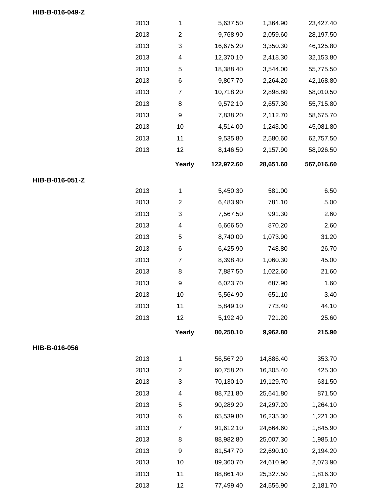|                 | 2013 | $\mathbf 1$      | 5,637.50   | 1,364.90  | 23,427.40  |
|-----------------|------|------------------|------------|-----------|------------|
|                 | 2013 | $\overline{2}$   | 9,768.90   | 2,059.60  | 28,197.50  |
|                 | 2013 | 3                | 16,675.20  | 3,350.30  | 46,125.80  |
|                 | 2013 | 4                | 12,370.10  | 2,418.30  | 32,153.80  |
|                 | 2013 | 5                | 18,388.40  | 3,544.00  | 55,775.50  |
|                 | 2013 | 6                | 9,807.70   | 2,264.20  | 42,168.80  |
|                 | 2013 | $\boldsymbol{7}$ | 10,718.20  | 2,898.80  | 58,010.50  |
|                 | 2013 | 8                | 9,572.10   | 2,657.30  | 55,715.80  |
|                 | 2013 | 9                | 7,838.20   | 2,112.70  | 58,675.70  |
|                 | 2013 | 10               | 4,514.00   | 1,243.00  | 45,081.80  |
|                 | 2013 | 11               | 9,535.80   | 2,580.60  | 62,757.50  |
|                 | 2013 | 12               | 8,146.50   | 2,157.90  | 58,926.50  |
|                 |      | Yearly           | 122,972.60 | 28,651.60 | 567,016.60 |
| HIB-B-016-051-Z |      |                  |            |           |            |
|                 | 2013 | $\mathbf{1}$     | 5,450.30   | 581.00    | 6.50       |
|                 | 2013 | $\overline{2}$   | 6,483.90   | 781.10    | 5.00       |
|                 | 2013 | 3                | 7,567.50   | 991.30    | 2.60       |
|                 | 2013 | 4                | 6,666.50   | 870.20    | 2.60       |
|                 | 2013 | 5                | 8,740.00   | 1,073.90  | 31.20      |
|                 | 2013 | 6                | 6,425.90   | 748.80    | 26.70      |
|                 | 2013 | $\overline{7}$   | 8,398.40   | 1,060.30  | 45.00      |
|                 | 2013 | 8                | 7,887.50   | 1,022.60  | 21.60      |
|                 | 2013 | $\boldsymbol{9}$ | 6,023.70   | 687.90    | 1.60       |
|                 | 2013 | 10               | 5,564.90   | 651.10    | 3.40       |
|                 | 2013 | 11               | 5,849.10   | 773.40    | 44.10      |
|                 | 2013 | 12               | 5,192.40   | 721.20    | 25.60      |
|                 |      | Yearly           | 80,250.10  | 9,962.80  | 215.90     |
| HIB-B-016-056   |      |                  |            |           |            |
|                 | 2013 | $\mathbf{1}$     | 56,567.20  | 14,886.40 | 353.70     |
|                 | 2013 | $\overline{2}$   | 60,758.20  | 16,305.40 | 425.30     |
|                 | 2013 | 3                | 70,130.10  | 19,129.70 | 631.50     |
|                 | 2013 | 4                | 88,721.80  | 25,641.80 | 871.50     |
|                 | 2013 | 5                | 90,289.20  | 24,297.20 | 1,264.10   |
|                 | 2013 | 6                | 65,539.80  | 16,235.30 | 1,221.30   |
|                 | 2013 | 7                | 91,612.10  | 24,664.60 | 1,845.90   |
|                 | 2013 | 8                | 88,982.80  | 25,007.30 | 1,985.10   |
|                 | 2013 | 9                | 81,547.70  | 22,690.10 | 2,194.20   |
|                 | 2013 | 10               | 89,360.70  | 24,610.90 | 2,073.90   |
|                 | 2013 | 11               | 88,861.40  | 25,327.50 | 1,816.30   |
|                 | 2013 | 12               | 77,499.40  | 24,556.90 | 2,181.70   |

**HIB-B-016-049-Z**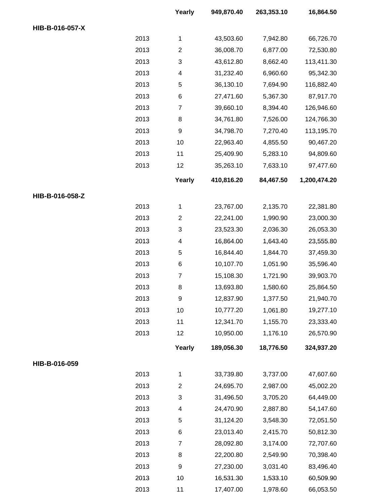|                 |      | Yearly           | 949,870.40 | 263,353.10 | 16,864.50    |
|-----------------|------|------------------|------------|------------|--------------|
| HIB-B-016-057-X |      |                  |            |            |              |
|                 | 2013 | $\mathbf{1}$     | 43,503.60  | 7,942.80   | 66,726.70    |
|                 | 2013 | $\overline{2}$   | 36,008.70  | 6,877.00   | 72,530.80    |
|                 | 2013 | 3                | 43,612.80  | 8,662.40   | 113,411.30   |
|                 | 2013 | 4                | 31,232.40  | 6,960.60   | 95,342.30    |
|                 | 2013 | 5                | 36,130.10  | 7,694.90   | 116,882.40   |
|                 | 2013 | 6                | 27,471.60  | 5,367.30   | 87,917.70    |
|                 | 2013 | $\boldsymbol{7}$ | 39,660.10  | 8,394.40   | 126,946.60   |
|                 | 2013 | 8                | 34,761.80  | 7,526.00   | 124,766.30   |
|                 | 2013 | 9                | 34,798.70  | 7,270.40   | 113,195.70   |
|                 | 2013 | 10               | 22,963.40  | 4,855.50   | 90,467.20    |
|                 | 2013 | 11               | 25,409.90  | 5,283.10   | 94,809.60    |
|                 | 2013 | 12               | 35,263.10  | 7,633.10   | 97,477.60    |
|                 |      | Yearly           | 410,816.20 | 84,467.50  | 1,200,474.20 |
| HIB-B-016-058-Z |      |                  |            |            |              |
|                 | 2013 | $\mathbf{1}$     | 23,767.00  | 2,135.70   | 22,381.80    |
|                 | 2013 | $\overline{2}$   | 22,241.00  | 1,990.90   | 23,000.30    |
|                 | 2013 | 3                | 23,523.30  | 2,036.30   | 26,053.30    |
|                 | 2013 | 4                | 16,864.00  | 1,643.40   | 23,555.80    |
|                 | 2013 | 5                | 16,844.40  | 1,844.70   | 37,459.30    |
|                 | 2013 | $\,6$            | 10,107.70  | 1,051.90   | 35,596.40    |
|                 | 2013 | $\overline{7}$   | 15,108.30  | 1,721.90   | 39,903.70    |
|                 | 2013 | 8                | 13,693.80  | 1,580.60   | 25,864.50    |
|                 | 2013 | 9                | 12,837.90  | 1,377.50   | 21,940.70    |
|                 | 2013 | 10               | 10,777.20  | 1,061.80   | 19,277.10    |
|                 | 2013 | 11               | 12,341.70  | 1,155.70   | 23,333.40    |
|                 | 2013 | 12               | 10,950.00  | 1,176.10   | 26,570.90    |
|                 |      | Yearly           | 189,056.30 | 18,776.50  | 324,937.20   |
| HIB-B-016-059   |      |                  |            |            |              |
|                 | 2013 | $\mathbf{1}$     | 33,739.80  | 3,737.00   | 47,607.60    |
|                 | 2013 | $\overline{2}$   | 24,695.70  | 2,987.00   | 45,002.20    |
|                 | 2013 | 3                | 31,496.50  | 3,705.20   | 64,449.00    |
|                 | 2013 | 4                | 24,470.90  | 2,887.80   | 54,147.60    |
|                 | 2013 | 5                | 31,124.20  | 3,548.30   | 72,051.50    |
|                 | 2013 | $\,6$            | 23,013.40  | 2,415.70   | 50,812.30    |
|                 | 2013 | 7                | 28,092.80  | 3,174.00   | 72,707.60    |
|                 | 2013 | 8                | 22,200.80  | 2,549.90   | 70,398.40    |
|                 | 2013 | 9                | 27,230.00  | 3,031.40   | 83,496.40    |
|                 | 2013 | 10               | 16,531.30  | 1,533.10   | 60,509.90    |
|                 | 2013 | 11               | 17,407.00  | 1,978.60   | 66,053.50    |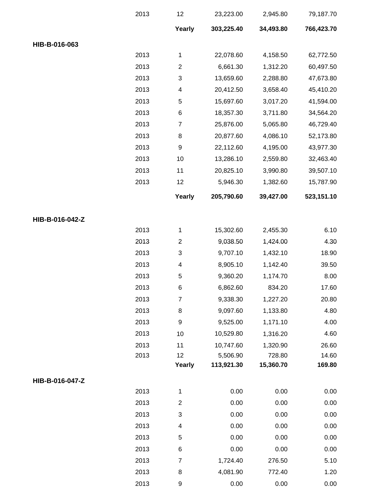|                 | 2013 | 12                        | 23,223.00  | 2,945.80  | 79,187.70  |
|-----------------|------|---------------------------|------------|-----------|------------|
|                 |      | Yearly                    | 303,225.40 | 34,493.80 | 766,423.70 |
| HIB-B-016-063   |      |                           |            |           |            |
|                 | 2013 | $\mathbf{1}$              | 22,078.60  | 4,158.50  | 62,772.50  |
|                 | 2013 | $\overline{\mathbf{c}}$   | 6,661.30   | 1,312.20  | 60,497.50  |
|                 | 2013 | 3                         | 13,659.60  | 2,288.80  | 47,673.80  |
|                 | 2013 | $\overline{\mathcal{A}}$  | 20,412.50  | 3,658.40  | 45,410.20  |
|                 | 2013 | $\mathbf 5$               | 15,697.60  | 3,017.20  | 41,594.00  |
|                 | 2013 | 6                         | 18,357.30  | 3,711.80  | 34,564.20  |
|                 | 2013 | $\overline{7}$            | 25,876.00  | 5,065.80  | 46,729.40  |
|                 | 2013 | 8                         | 20,877.60  | 4,086.10  | 52,173.80  |
|                 | 2013 | $\boldsymbol{9}$          | 22,112.60  | 4,195.00  | 43,977.30  |
|                 | 2013 | 10                        | 13,286.10  | 2,559.80  | 32,463.40  |
|                 | 2013 | 11                        | 20,825.10  | 3,990.80  | 39,507.10  |
|                 | 2013 | 12                        | 5,946.30   | 1,382.60  | 15,787.90  |
|                 |      | Yearly                    | 205,790.60 | 39,427.00 | 523,151.10 |
| HIB-B-016-042-Z |      |                           |            |           |            |
|                 | 2013 | $\mathbf{1}$              | 15,302.60  | 2,455.30  | 6.10       |
|                 | 2013 | $\overline{2}$            | 9,038.50   | 1,424.00  | 4.30       |
|                 | 2013 | $\ensuremath{\mathsf{3}}$ | 9,707.10   | 1,432.10  | 18.90      |
|                 | 2013 | 4                         | 8,905.10   | 1,142.40  | 39.50      |
|                 | 2013 | $\mathbf 5$               | 9,360.20   | 1,174.70  | 8.00       |
|                 | 2013 | 6                         | 6,862.60   | 834.20    | 17.60      |
|                 | 2013 | $\overline{7}$            | 9,338.30   | 1,227.20  | 20.80      |
|                 | 2013 | 8                         | 9,097.60   | 1,133.80  | 4.80       |
|                 | 2013 | $\boldsymbol{9}$          | 9,525.00   | 1,171.10  | 4.00       |
|                 | 2013 | 10                        | 10,529.80  | 1,316.20  | 4.60       |
|                 | 2013 | 11                        | 10,747.60  | 1,320.90  | 26.60      |
|                 | 2013 | 12                        | 5,506.90   | 728.80    | 14.60      |
|                 |      | Yearly                    | 113,921.30 | 15,360.70 | 169.80     |
| HIB-B-016-047-Z |      |                           |            |           |            |
|                 | 2013 | 1                         | 0.00       | 0.00      | 0.00       |
|                 | 2013 | $\boldsymbol{2}$          | 0.00       | 0.00      | 0.00       |
|                 | 2013 | $\sqrt{3}$                | 0.00       | 0.00      | 0.00       |
|                 | 2013 | $\overline{\mathcal{A}}$  | 0.00       | 0.00      | 0.00       |
|                 | 2013 | $\mathbf 5$               | 0.00       | 0.00      | 0.00       |
|                 | 2013 | 6                         | 0.00       | 0.00      | 0.00       |
|                 | 2013 | $\boldsymbol{7}$          | 1,724.40   | 276.50    | 5.10       |
|                 | 2013 | 8                         | 4,081.90   | 772.40    | 1.20       |
|                 | 2013 | $\boldsymbol{9}$          | 0.00       | 0.00      | 0.00       |